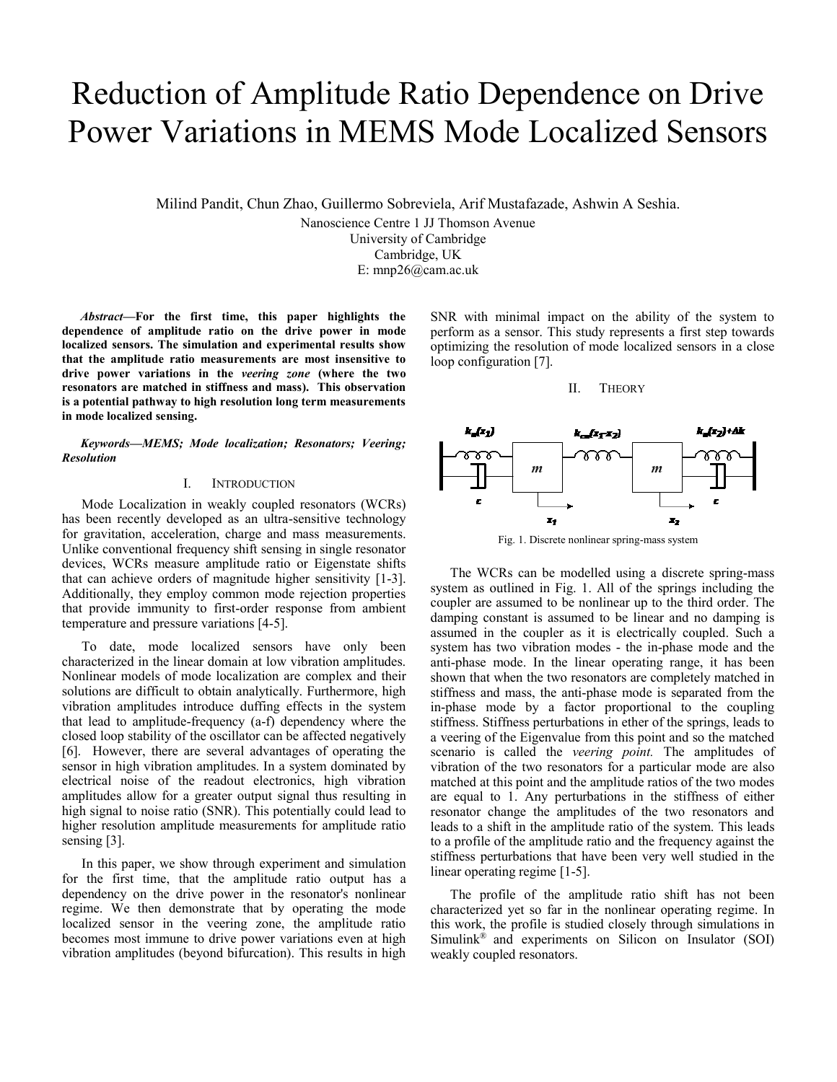# Reduction of Amplitude Ratio Dependence on Drive Power Variations in MEMS Mode Localized Sensors

Milind Pandit, Chun Zhao, Guillermo Sobreviela, Arif Mustafazade, Ashwin A Seshia.

Nanoscience Centre 1 JJ Thomson Avenue University of Cambridge

Cambridge, UK

E: mnp26@cam.ac.uk

*Abstract***—For the first time, this paper highlights the dependence of amplitude ratio on the drive power in mode localized sensors. The simulation and experimental results show that the amplitude ratio measurements are most insensitive to drive power variations in the** *veering zone* **(where the two resonators are matched in stiffness and mass). This observation is a potential pathway to high resolution long term measurements in mode localized sensing.** 

*Keywords—MEMS; Mode localization; Resonators; Veering; Resolution*

## I. INTRODUCTION

Mode Localization in weakly coupled resonators (WCRs) has been recently developed as an ultra-sensitive technology for gravitation, acceleration, charge and mass measurements. Unlike conventional frequency shift sensing in single resonator devices, WCRs measure amplitude ratio or Eigenstate shifts that can achieve orders of magnitude higher sensitivity [1-3]. Additionally, they employ common mode rejection properties that provide immunity to first-order response from ambient temperature and pressure variations [4-5].

To date, mode localized sensors have only been characterized in the linear domain at low vibration amplitudes. Nonlinear models of mode localization are complex and their solutions are difficult to obtain analytically. Furthermore, high vibration amplitudes introduce duffing effects in the system that lead to amplitude-frequency (a-f) dependency where the closed loop stability of the oscillator can be affected negatively [6]. However, there are several advantages of operating the sensor in high vibration amplitudes. In a system dominated by electrical noise of the readout electronics, high vibration amplitudes allow for a greater output signal thus resulting in high signal to noise ratio (SNR). This potentially could lead to higher resolution amplitude measurements for amplitude ratio sensing [3].

In this paper, we show through experiment and simulation for the first time, that the amplitude ratio output has a dependency on the drive power in the resonator's nonlinear regime. We then demonstrate that by operating the mode localized sensor in the veering zone, the amplitude ratio becomes most immune to drive power variations even at high vibration amplitudes (beyond bifurcation). This results in high

SNR with minimal impact on the ability of the system to perform as a sensor. This study represents a first step towards optimizing the resolution of mode localized sensors in a close loop configuration [7].





Fig. 1. Discrete nonlinear spring-mass system

The WCRs can be modelled using a discrete spring-mass system as outlined in Fig. 1. All of the springs including the coupler are assumed to be nonlinear up to the third order. The damping constant is assumed to be linear and no damping is assumed in the coupler as it is electrically coupled. Such a system has two vibration modes - the in-phase mode and the anti-phase mode. In the linear operating range, it has been shown that when the two resonators are completely matched in stiffness and mass, the anti-phase mode is separated from the in-phase mode by a factor proportional to the coupling stiffness. Stiffness perturbations in ether of the springs, leads to a veering of the Eigenvalue from this point and so the matched scenario is called the *veering point.* The amplitudes of vibration of the two resonators for a particular mode are also matched at this point and the amplitude ratios of the two modes are equal to 1. Any perturbations in the stiffness of either resonator change the amplitudes of the two resonators and leads to a shift in the amplitude ratio of the system. This leads to a profile of the amplitude ratio and the frequency against the stiffness perturbations that have been very well studied in the linear operating regime [1-5].

The profile of the amplitude ratio shift has not been characterized yet so far in the nonlinear operating regime. In this work, the profile is studied closely through simulations in Simulink® and experiments on Silicon on Insulator (SOI) weakly coupled resonators.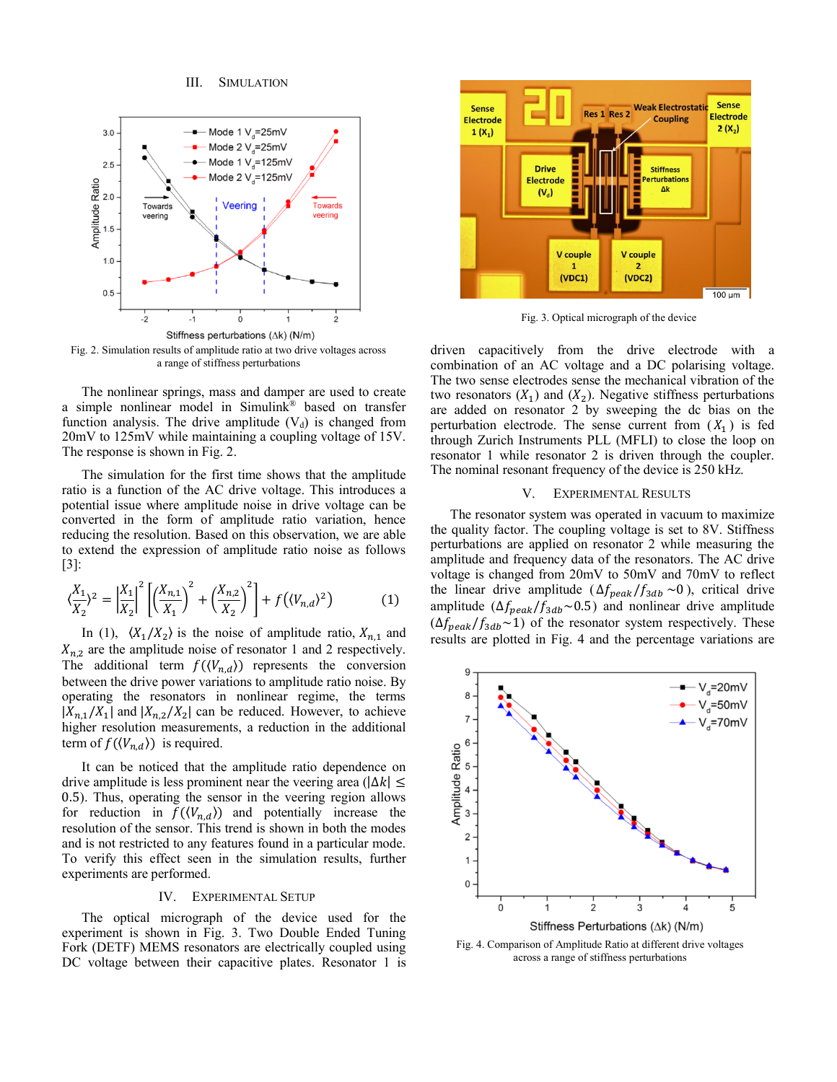

Fig. 2. Simulation results of amplitude ratio at two drive voltages across a range of stiffness perturbations

The nonlinear springs, mass and damper are used to create a simple nonlinear model in Simulink® based on transfer function analysis. The drive amplitude  $(V_d)$  is changed from 20mV to 125mV while maintaining a coupling voltage of 15V. The response is shown in Fig. 2.

The simulation for the first time shows that the amplitude ratio is a function of the AC drive voltage. This introduces a potential issue where amplitude noise in drive voltage can be converted in the form of amplitude ratio variation, hence reducing the resolution. Based on this observation, we are able to extend the expression of amplitude ratio noise as follows [3]:

$$
\langle \frac{X_1}{X_2} \rangle^2 = \left| \frac{X_1}{X_2} \right|^2 \left[ \left( \frac{X_{n,1}}{X_1} \right)^2 + \left( \frac{X_{n,2}}{X_2} \right)^2 \right] + f\left( \langle V_{n,d} \rangle^2 \right) \tag{1}
$$

In (1),  $\langle X_1/X_2 \rangle$  is the noise of amplitude ratio,  $X_{n,1}$  and  $X_{n,2}$  are the amplitude noise of resonator 1 and 2 respectively. The additional term  $f(\langle V_{n,d} \rangle)$  represents the conversion between the drive power variations to amplitude ratio noise. By operating the resonators in nonlinear regime, the terms  $|X_{n,1}/X_1|$  and  $|X_{n,2}/X_2|$  can be reduced. However, to achieve higher resolution measurements, a reduction in the additional term of  $f(\langle V_{n,d} \rangle)$  is required.

It can be noticed that the amplitude ratio dependence on drive amplitude is less prominent near the veering area ( $|\Delta k| \le$ 0.5). Thus, operating the sensor in the veering region allows for reduction in  $f(\langle V_{n,d} \rangle)$  and potentially increase the resolution of the sensor. This trend is shown in both the modes and is not restricted to any features found in a particular mode. To verify this effect seen in the simulation results, further experiments are performed.

#### IV. EXPERIMENTAL SETUP

The optical micrograph of the device used for the experiment is shown in Fig. 3. Two Double Ended Tuning Fork (DETF) MEMS resonators are electrically coupled using DC voltage between their capacitive plates. Resonator 1 is



Fig. 3. Optical micrograph of the device

driven capacitively from the drive electrode with a combination of an AC voltage and a DC polarising voltage. The two sense electrodes sense the mechanical vibration of the two resonators  $(X_1)$  and  $(X_2)$ . Negative stiffness perturbations are added on resonator 2 by sweeping the dc bias on the perturbation electrode. The sense current from  $(X_1)$  is fed through Zurich Instruments PLL (MFLI) to close the loop on resonator 1 while resonator 2 is driven through the coupler. The nominal resonant frequency of the device is 250 kHz.

## V. EXPERIMENTAL RESULTS

The resonator system was operated in vacuum to maximize the quality factor. The coupling voltage is set to 8V. Stiffness perturbations are applied on resonator 2 while measuring the amplitude and frequency data of the resonators. The AC drive voltage is changed from 20mV to 50mV and 70mV to reflect the linear drive amplitude ( $\Delta f_{peak}/f_{3db} \sim 0$ ), critical drive amplitude ( $\Delta f_{peak}/f_{3db}$ ~0.5) and nonlinear drive amplitude  $(\Delta f_{peak}/f_{3db}\sim 1)$  of the resonator system respectively. These results are plotted in Fig. 4 and the percentage variations are



Fig. 4. Comparison of Amplitude Ratio at different drive voltages across a range of stiffness perturbations